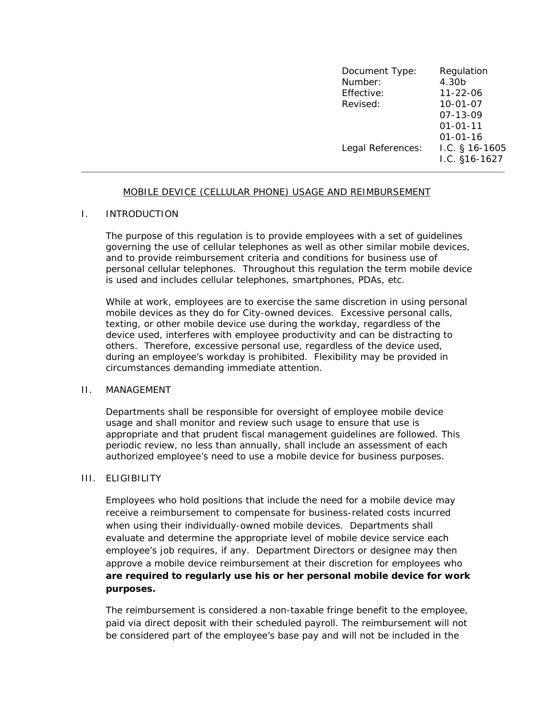| Document Type:    | Regulation       |
|-------------------|------------------|
| Number:           | 4.30b            |
| Effective:        | $11 - 22 - 06$   |
| Revised:          | $10 - 01 - 07$   |
|                   | $07 - 13 - 09$   |
|                   | $01 - 01 - 11$   |
|                   | $01 - 01 - 16$   |
| Legal References: | I.C. $§$ 16-1605 |
|                   | $1.C. §16-1627$  |

#### MOBILE DEVICE (CELLULAR PHONE) USAGE AND REIMBURSEMENT

## I. INTRODUCTION

The purpose of this regulation is to provide employees with a set of guidelines governing the use of cellular telephones as well as other similar mobile devices, and to provide reimbursement criteria and conditions for business use of personal cellular telephones. Throughout this regulation the term mobile device is used and includes cellular telephones, smartphones, PDAs, etc.

While at work, employees are to exercise the same discretion in using personal mobile devices as they do for City-owned devices. Excessive personal calls, texting, or other mobile device use during the workday, regardless of the device used, interferes with employee productivity and can be distracting to others. Therefore, excessive personal use, regardless of the device used, during an employee's workday is prohibited. Flexibility may be provided in circumstances demanding immediate attention.

#### II. MANAGEMENT

Departments shall be responsible for oversight of employee mobile device usage and shall monitor and review such usage to ensure that use is appropriate and that prudent fiscal management guidelines are followed. This periodic review, no less than annually, shall include an assessment of each authorized employee's need to use a mobile device for business purposes.

# III. ELIGIBILITY

Employees who hold positions that include the need for a mobile device may receive a reimbursement to compensate for business-related costs incurred when using their individually-owned mobile devices. Departments shall evaluate and determine the appropriate level of mobile device service each employee's job requires, if any. Department Directors or designee may then approve a mobile device reimbursement at their discretion for employees who **are required to regularly use his or her personal mobile device for work purposes.** 

The reimbursement is considered a non-taxable fringe benefit to the employee, paid via direct deposit with their scheduled payroll. The reimbursement will not be considered part of the employee's base pay and will not be included in the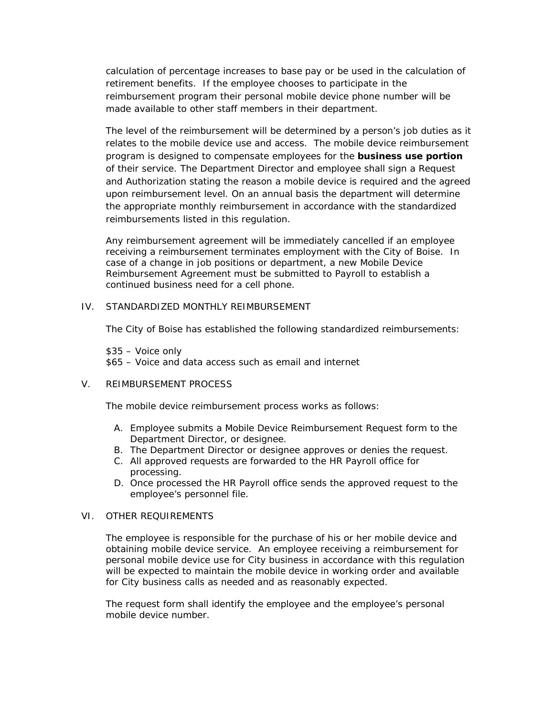calculation of percentage increases to base pay or be used in the calculation of retirement benefits. If the employee chooses to participate in the reimbursement program their personal mobile device phone number will be made available to other staff members in their department.

The level of the reimbursement will be determined by a person's job duties as it relates to the mobile device use and access. The mobile device reimbursement program is designed to compensate employees for the **business use portion** of their service. The Department Director and employee shall sign a Request and Authorization stating the reason a mobile device is required and the agreed upon reimbursement level. On an annual basis the department will determine the appropriate monthly reimbursement in accordance with the standardized reimbursements listed in this regulation.

Any reimbursement agreement will be immediately cancelled if an employee receiving a reimbursement terminates employment with the City of Boise. In case of a change in job positions or department, a new Mobile Device Reimbursement Agreement must be submitted to Payroll to establish a continued business need for a cell phone.

### IV. STANDARDIZED MONTHLY REIMBURSEMENT

The City of Boise has established the following standardized reimbursements:

 \$35 – Voice only \$65 – Voice and data access such as email and internet

# V. REIMBURSEMENT PROCESS

The mobile device reimbursement process works as follows:

- A. Employee submits a Mobile Device Reimbursement Request form to the Department Director, or designee.
- B. The Department Director or designee approves or denies the request.
- C. All approved requests are forwarded to the HR Payroll office for processing.
- D. Once processed the HR Payroll office sends the approved request to the employee's personnel file.

### VI. OTHER REQUIREMENTS

The employee is responsible for the purchase of his or her mobile device and obtaining mobile device service. An employee receiving a reimbursement for personal mobile device use for City business in accordance with this regulation will be expected to maintain the mobile device in working order and available for City business calls as needed and as reasonably expected.

The request form shall identify the employee and the employee's personal mobile device number.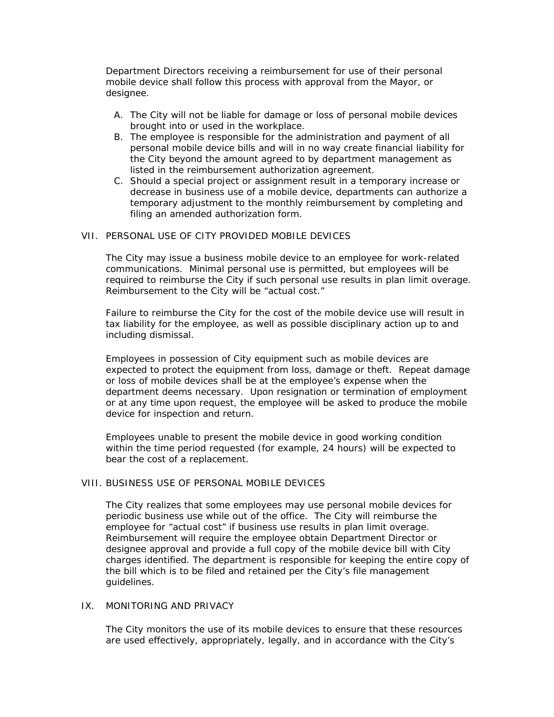Department Directors receiving a reimbursement for use of their personal mobile device shall follow this process with approval from the Mayor, or designee.

- A. The City will not be liable for damage or loss of personal mobile devices brought into or used in the workplace.
- B. The employee is responsible for the administration and payment of all personal mobile device bills and will in no way create financial liability for the City beyond the amount agreed to by department management as listed in the reimbursement authorization agreement.
- C. Should a special project or assignment result in a temporary increase or decrease in business use of a mobile device, departments can authorize a temporary adjustment to the monthly reimbursement by completing and filing an amended authorization form.

### VII. PERSONAL USE OF CITY PROVIDED MOBILE DEVICES

The City may issue a business mobile device to an employee for work-related communications. Minimal personal use is permitted, but employees will be required to reimburse the City if such personal use results in plan limit overage. Reimbursement to the City will be "actual cost."

Failure to reimburse the City for the cost of the mobile device use will result in tax liability for the employee, as well as possible disciplinary action up to and including dismissal.

Employees in possession of City equipment such as mobile devices are expected to protect the equipment from loss, damage or theft. Repeat damage or loss of mobile devices shall be at the employee's expense when the department deems necessary. Upon resignation or termination of employment or at any time upon request, the employee will be asked to produce the mobile device for inspection and return.

Employees unable to present the mobile device in good working condition within the time period requested (for example, 24 hours) will be expected to bear the cost of a replacement.

## VIII. BUSINESS USE OF PERSONAL MOBILE DEVICES

The City realizes that some employees may use personal mobile devices for periodic business use while out of the office. The City will reimburse the employee for "actual cost" if business use results in plan limit overage. Reimbursement will require the employee obtain Department Director or designee approval and provide a full copy of the mobile device bill with City charges identified. The department is responsible for keeping the entire copy of the bill which is to be filed and retained per the City's file management guidelines.

### IX. MONITORING AND PRIVACY

The City monitors the use of its mobile devices to ensure that these resources are used effectively, appropriately, legally, and in accordance with the City's